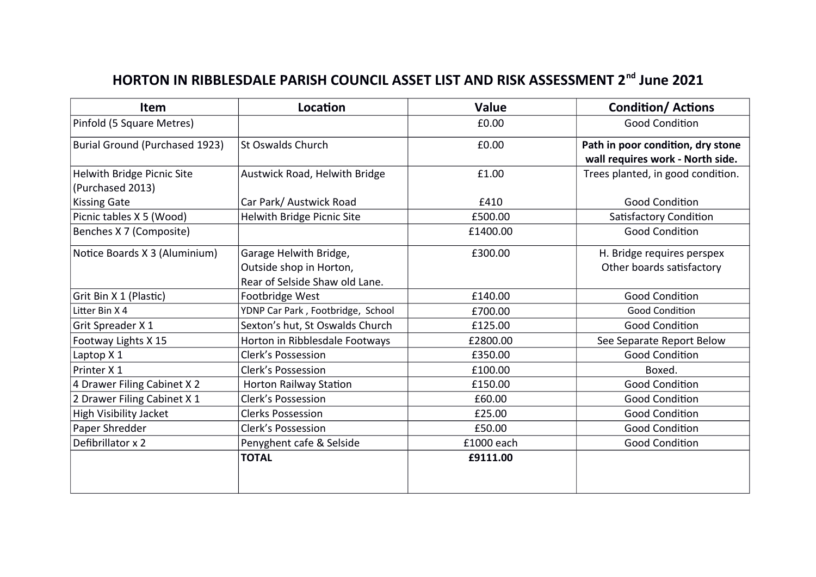## **HORTON IN RIBBLESDALE PARISH COUNCIL ASSET LIST AND RISK ASSESSMENT 2nd June 2021**

| Item                                                  | Location                                                                            | <b>Value</b> | <b>Condition/ Actions</b>                                             |
|-------------------------------------------------------|-------------------------------------------------------------------------------------|--------------|-----------------------------------------------------------------------|
| Pinfold (5 Square Metres)                             |                                                                                     | £0.00        | <b>Good Condition</b>                                                 |
| <b>Burial Ground (Purchased 1923)</b>                 | <b>St Oswalds Church</b>                                                            | £0.00        | Path in poor condition, dry stone<br>wall requires work - North side. |
| <b>Helwith Bridge Picnic Site</b><br>(Purchased 2013) | Austwick Road, Helwith Bridge                                                       | £1.00        | Trees planted, in good condition.                                     |
| <b>Kissing Gate</b>                                   | Car Park/ Austwick Road                                                             | £410         | <b>Good Condition</b>                                                 |
| Picnic tables X 5 (Wood)                              | Helwith Bridge Picnic Site                                                          | £500.00      | Satisfactory Condition                                                |
| Benches X 7 (Composite)                               |                                                                                     | £1400.00     | <b>Good Condition</b>                                                 |
| Notice Boards X 3 (Aluminium)                         | Garage Helwith Bridge,<br>Outside shop in Horton,<br>Rear of Selside Shaw old Lane. | £300.00      | H. Bridge requires perspex<br>Other boards satisfactory               |
| Grit Bin X 1 (Plastic)                                | Footbridge West                                                                     | £140.00      | <b>Good Condition</b>                                                 |
| Litter Bin X 4                                        | YDNP Car Park, Footbridge, School                                                   | £700.00      | <b>Good Condition</b>                                                 |
| Grit Spreader X 1                                     | Sexton's hut, St Oswalds Church                                                     | £125.00      | <b>Good Condition</b>                                                 |
| Footway Lights X 15                                   | Horton in Ribblesdale Footways                                                      | £2800.00     | See Separate Report Below                                             |
| Laptop X 1                                            | <b>Clerk's Possession</b>                                                           | £350.00      | <b>Good Condition</b>                                                 |
| Printer X 1                                           | <b>Clerk's Possession</b>                                                           | £100.00      | Boxed.                                                                |
| 4 Drawer Filing Cabinet X 2                           | <b>Horton Railway Station</b>                                                       | £150.00      | <b>Good Condition</b>                                                 |
| 2 Drawer Filing Cabinet X 1                           | <b>Clerk's Possession</b>                                                           | £60.00       | <b>Good Condition</b>                                                 |
| <b>High Visibility Jacket</b>                         | <b>Clerks Possession</b>                                                            | £25.00       | <b>Good Condition</b>                                                 |
| Paper Shredder                                        | <b>Clerk's Possession</b>                                                           | £50.00       | <b>Good Condition</b>                                                 |
| Defibrillator x 2                                     | Penyghent cafe & Selside                                                            | £1000 each   | <b>Good Condition</b>                                                 |
|                                                       | <b>TOTAL</b>                                                                        | £9111.00     |                                                                       |